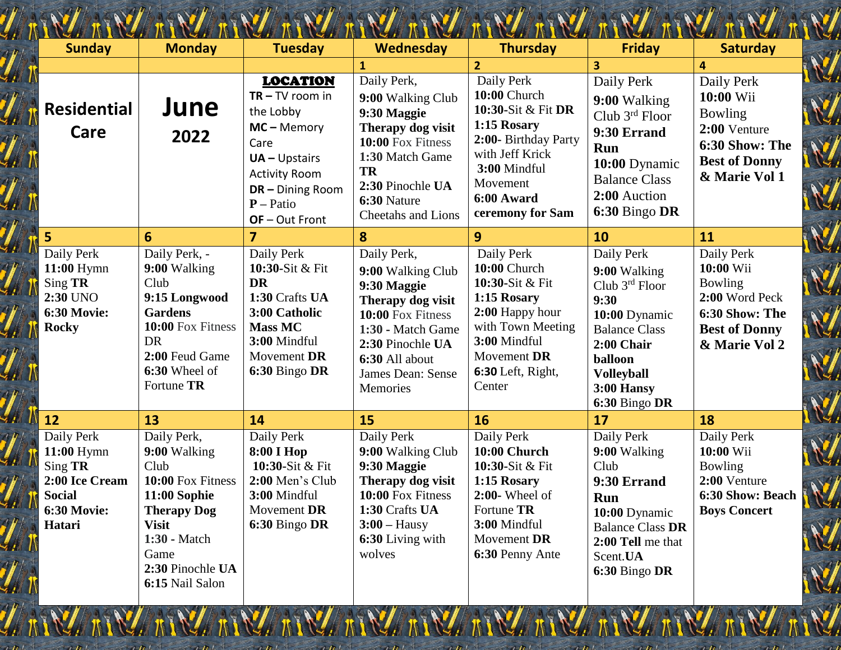|                                                                                                        |                                                                                                                                                                                      |                                                                                                                                                                          |                                                                                                                                                                                           |                                                                                                                                                                          |                                                                                                                                                                                        | N.                                                                                                                     |
|--------------------------------------------------------------------------------------------------------|--------------------------------------------------------------------------------------------------------------------------------------------------------------------------------------|--------------------------------------------------------------------------------------------------------------------------------------------------------------------------|-------------------------------------------------------------------------------------------------------------------------------------------------------------------------------------------|--------------------------------------------------------------------------------------------------------------------------------------------------------------------------|----------------------------------------------------------------------------------------------------------------------------------------------------------------------------------------|------------------------------------------------------------------------------------------------------------------------|
| <b>Sunday</b>                                                                                          | <b>Monday</b>                                                                                                                                                                        | <b>Tuesday</b>                                                                                                                                                           | <b>Wednesday</b>                                                                                                                                                                          | <b>Thursday</b>                                                                                                                                                          | <b>Friday</b>                                                                                                                                                                          | <b>Saturday</b>                                                                                                        |
|                                                                                                        |                                                                                                                                                                                      |                                                                                                                                                                          | $\mathbf{1}$                                                                                                                                                                              | $\overline{2}$                                                                                                                                                           | 3                                                                                                                                                                                      | $\overline{4}$                                                                                                         |
| <b>Residential</b><br>Care                                                                             | June<br>2022                                                                                                                                                                         | <b>LOCATION</b><br>$TR - TV$ room in<br>the Lobby<br>$MC - Memory$<br>Care<br>$UA - Upstairs$<br><b>Activity Room</b><br>DR - Dining Room<br>$P - Patio$<br>OF-Out Front | Daily Perk,<br>9:00 Walking Club<br>9:30 Maggie<br>Therapy dog visit<br>10:00 Fox Fitness<br>1:30 Match Game<br><b>TR</b><br>2:30 Pinochle UA<br>6:30 Nature<br><b>Cheetahs and Lions</b> | Daily Perk<br>10:00 Church<br>10:30-Sit & Fit DR<br>1:15 Rosary<br>2:00- Birthday Party<br>with Jeff Krick<br>3:00 Mindful<br>Movement<br>6:00 Award<br>ceremony for Sam | Daily Perk<br>9:00 Walking<br>Club $3rd$ Floor<br>9:30 Errand<br>Run<br>10:00 Dynamic<br><b>Balance Class</b><br>2:00 Auction<br>6:30 Bingo DR                                         | Daily Perk<br>10:00 Wii<br>Bowling<br>2:00 Venture<br>6:30 Show: The<br><b>Best of Donny</b><br>& Marie Vol 1          |
| 5                                                                                                      | 6                                                                                                                                                                                    | $\overline{7}$                                                                                                                                                           | 8                                                                                                                                                                                         | 9                                                                                                                                                                        | 10                                                                                                                                                                                     | 11                                                                                                                     |
| Daily Perk<br>$11:00$ Hymn<br>Sing TR<br>2:30 UNO<br><b>6:30 Movie:</b><br><b>Rocky</b>                | Daily Perk, -<br>9:00 Walking<br>Club<br>9:15 Longwood<br><b>Gardens</b><br>10:00 Fox Fitness<br><b>DR</b><br>2:00 Feud Game<br>6:30 Wheel of<br>Fortune TR                          | Daily Perk<br>10:30-Sit & Fit<br><b>DR</b><br>1:30 Crafts UA<br>3:00 Catholic<br><b>Mass MC</b><br>3:00 Mindful<br>Movement DR<br>6:30 Bingo DR                          | Daily Perk,<br>9:00 Walking Club<br>9:30 Maggie<br>Therapy dog visit<br>10:00 Fox Fitness<br>1:30 - Match Game<br>2:30 Pinochle UA<br>6:30 All about<br>James Dean: Sense<br>Memories     | Daily Perk<br>10:00 Church<br>10:30-Sit & Fit<br>1:15 Rosary<br>2:00 Happy hour<br>with Town Meeting<br>3:00 Mindful<br>Movement DR<br>6:30 Left, Right,<br>Center       | Daily Perk<br>9:00 Walking<br>Club $3^{rd}$ Floor<br>9:30<br>10:00 Dynamic<br><b>Balance Class</b><br>2:00 Chair<br>balloon<br><b>Volleyball</b><br><b>3:00 Hansy</b><br>6:30 Bingo DR | Daily Perk<br>10:00 Wii<br><b>Bowling</b><br>2:00 Word Peck<br>6:30 Show: The<br><b>Best of Donny</b><br>& Marie Vol 2 |
| 12                                                                                                     | 13                                                                                                                                                                                   | 14                                                                                                                                                                       | 15                                                                                                                                                                                        | 16                                                                                                                                                                       | 17                                                                                                                                                                                     | 18                                                                                                                     |
| Daily Perk<br>11:00 Hymn<br>Sing TR<br>2:00 Ice Cream<br><b>Social</b><br><b>6:30 Movie:</b><br>Hatari | Daily Perk,<br>9:00 Walking<br>Club<br>10:00 Fox Fitness<br><b>11:00 Sophie</b><br><b>Therapy Dog</b><br><b>Visit</b><br>1:30 - Match<br>Game<br>2:30 Pinochle UA<br>6:15 Nail Salon | Daily Perk<br>8:00 I Hop<br>10:30-Sit & Fit<br>2:00 Men's Club<br>3:00 Mindful<br>Movement DR<br>6:30 Bingo DR                                                           | Daily Perk<br>9:00 Walking Club<br>9:30 Maggie<br>Therapy dog visit<br>10:00 Fox Fitness<br>1:30 Crafts UA<br>$3:00 - Hausy$<br>6:30 Living with<br>wolves                                | Daily Perk<br>10:00 Church<br>10:30-Sit & Fit<br>1:15 Rosary<br>$2:00$ - Wheel of<br>Fortune TR<br>3:00 Mindful<br>Movement DR<br>6:30 Penny Ante                        | Daily Perk<br>9:00 Walking<br>Club<br>9:30 Errand<br><b>Run</b><br>10:00 Dynamic<br><b>Balance Class DR</b><br>2:00 Tell me that<br>Scent.UA<br>6:30 Bingo DR                          | Daily Perk<br>10:00 Wii<br>Bowling<br>2:00 Venture<br>6:30 Show: Beach<br><b>Boys Concert</b>                          |